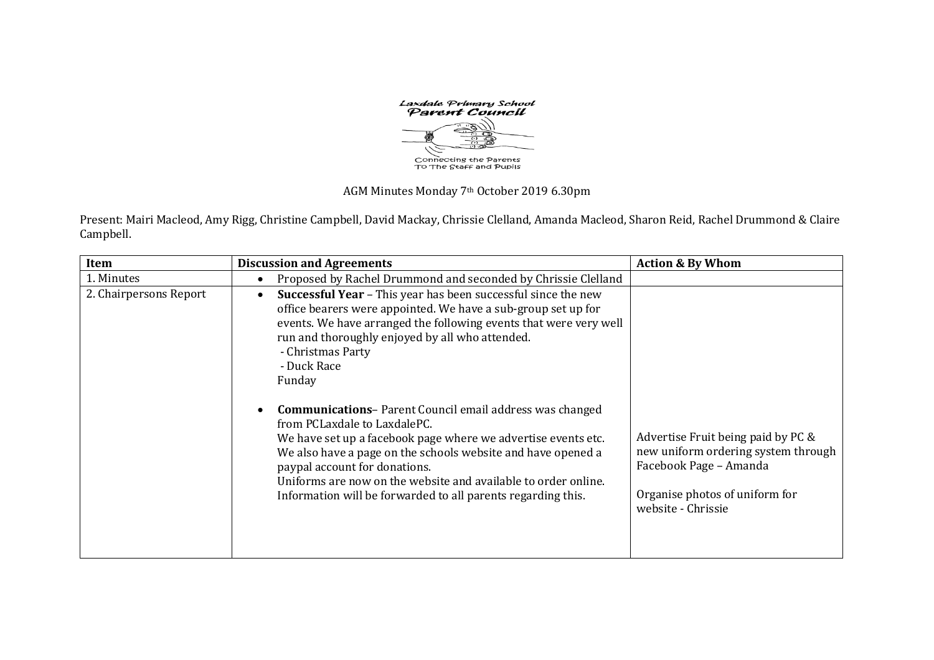Laxdale Primary School<br>Parent Council Connecting the Parents<br>To The Staff and Pupils

AGM Minutes Monday 7th October 2019 6.30pm

Present: Mairi Macleod, Amy Rigg, Christine Campbell, David Mackay, Chrissie Clelland, Amanda Macleod, Sharon Reid, Rachel Drummond & Claire Campbell.

| Item                   | <b>Discussion and Agreements</b>                                                                                                                                                                                                                                                                                                                                                                                                                                                                                                                                                                                                                                                                                                     | <b>Action &amp; By Whom</b>                                                                                                                                 |
|------------------------|--------------------------------------------------------------------------------------------------------------------------------------------------------------------------------------------------------------------------------------------------------------------------------------------------------------------------------------------------------------------------------------------------------------------------------------------------------------------------------------------------------------------------------------------------------------------------------------------------------------------------------------------------------------------------------------------------------------------------------------|-------------------------------------------------------------------------------------------------------------------------------------------------------------|
| 1. Minutes             | Proposed by Rachel Drummond and seconded by Chrissie Clelland<br>$\bullet$                                                                                                                                                                                                                                                                                                                                                                                                                                                                                                                                                                                                                                                           |                                                                                                                                                             |
| 2. Chairpersons Report | Successful Year - This year has been successful since the new<br>$\bullet$<br>office bearers were appointed. We have a sub-group set up for<br>events. We have arranged the following events that were very well<br>run and thoroughly enjoyed by all who attended.<br>- Christmas Party<br>- Duck Race<br>Funday<br><b>Communications-Parent Council email address was changed</b><br>$\bullet$<br>from PCLaxdale to LaxdalePC.<br>We have set up a facebook page where we advertise events etc.<br>We also have a page on the schools website and have opened a<br>paypal account for donations.<br>Uniforms are now on the website and available to order online.<br>Information will be forwarded to all parents regarding this. | Advertise Fruit being paid by PC &<br>new uniform ordering system through<br>Facebook Page - Amanda<br>Organise photos of uniform for<br>website - Chrissie |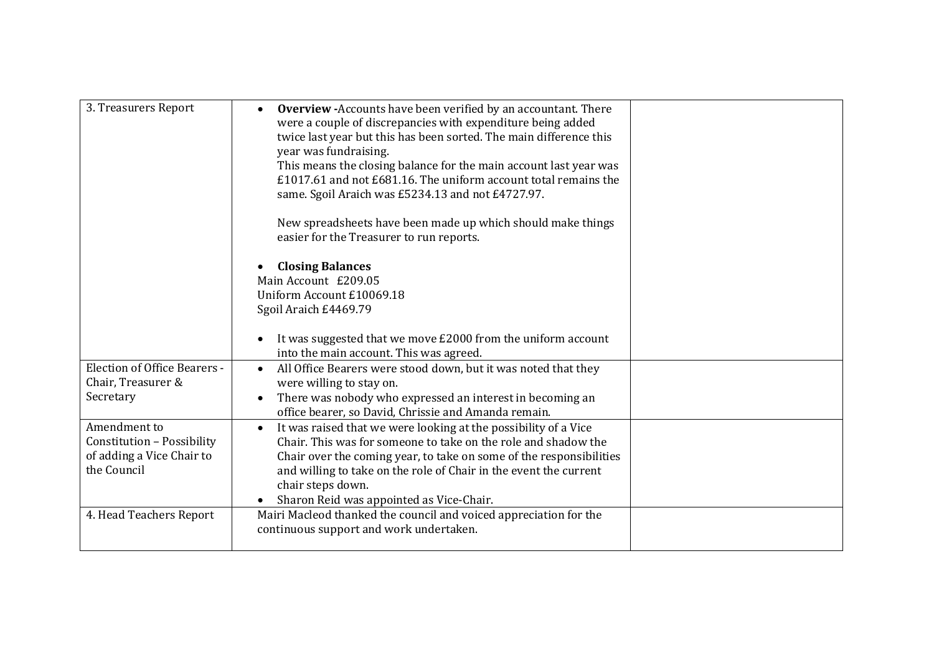| 3. Treasurers Report                                                                   | <b>Overview -Accounts have been verified by an accountant. There</b><br>were a couple of discrepancies with expenditure being added<br>twice last year but this has been sorted. The main difference this<br>year was fundraising.<br>This means the closing balance for the main account last year was<br>£1017.61 and not £681.16. The uniform account total remains the<br>same. Sgoil Araich was £5234.13 and not £4727.97.<br>New spreadsheets have been made up which should make things<br>easier for the Treasurer to run reports.<br><b>Closing Balances</b><br>Main Account £209.05<br>Uniform Account £10069.18<br>Sgoil Araich £4469.79<br>It was suggested that we move £2000 from the uniform account<br>$\bullet$ |  |
|----------------------------------------------------------------------------------------|----------------------------------------------------------------------------------------------------------------------------------------------------------------------------------------------------------------------------------------------------------------------------------------------------------------------------------------------------------------------------------------------------------------------------------------------------------------------------------------------------------------------------------------------------------------------------------------------------------------------------------------------------------------------------------------------------------------------------------|--|
| <b>Election of Office Bearers -</b><br>Chair, Treasurer &<br>Secretary                 | into the main account. This was agreed.<br>All Office Bearers were stood down, but it was noted that they<br>$\bullet$<br>were willing to stay on.<br>There was nobody who expressed an interest in becoming an<br>$\bullet$<br>office bearer, so David, Chrissie and Amanda remain.                                                                                                                                                                                                                                                                                                                                                                                                                                             |  |
| Amendment to<br>Constitution - Possibility<br>of adding a Vice Chair to<br>the Council | It was raised that we were looking at the possibility of a Vice<br>$\bullet$<br>Chair. This was for someone to take on the role and shadow the<br>Chair over the coming year, to take on some of the responsibilities<br>and willing to take on the role of Chair in the event the current<br>chair steps down.<br>Sharon Reid was appointed as Vice-Chair.<br>$\bullet$                                                                                                                                                                                                                                                                                                                                                         |  |
| 4. Head Teachers Report                                                                | Mairi Macleod thanked the council and voiced appreciation for the<br>continuous support and work undertaken.                                                                                                                                                                                                                                                                                                                                                                                                                                                                                                                                                                                                                     |  |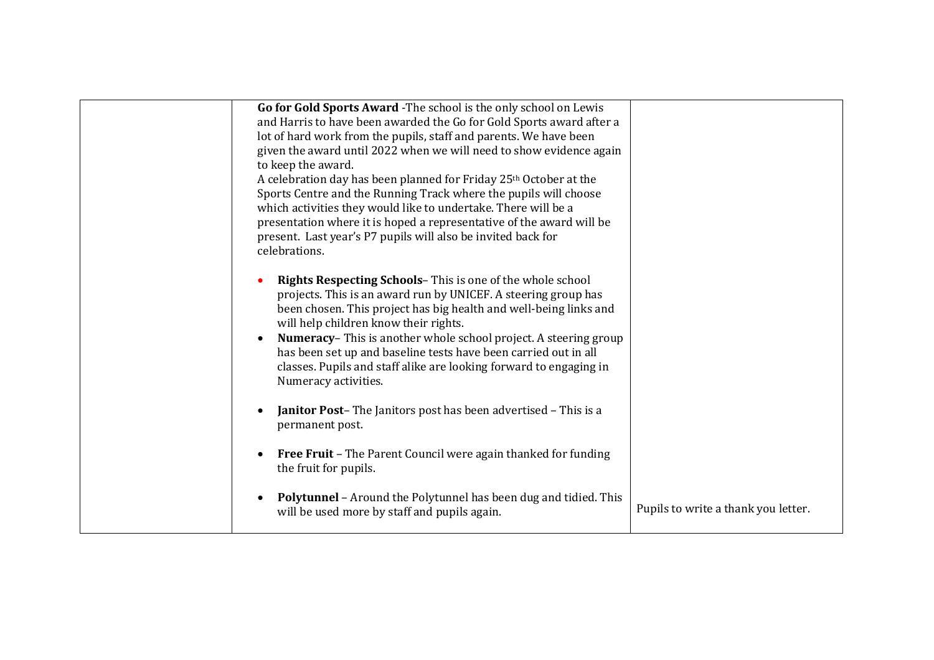| Go for Gold Sports Award - The school is the only school on Lewis<br>and Harris to have been awarded the Go for Gold Sports award after a<br>lot of hard work from the pupils, staff and parents. We have been<br>given the award until 2022 when we will need to show evidence again<br>to keep the award.<br>A celebration day has been planned for Friday 25th October at the<br>Sports Centre and the Running Track where the pupils will choose<br>which activities they would like to undertake. There will be a<br>presentation where it is hoped a representative of the award will be<br>present. Last year's P7 pupils will also be invited back for<br>celebrations. |                                     |
|---------------------------------------------------------------------------------------------------------------------------------------------------------------------------------------------------------------------------------------------------------------------------------------------------------------------------------------------------------------------------------------------------------------------------------------------------------------------------------------------------------------------------------------------------------------------------------------------------------------------------------------------------------------------------------|-------------------------------------|
| <b>Rights Respecting Schools-</b> This is one of the whole school<br>projects. This is an award run by UNICEF. A steering group has<br>been chosen. This project has big health and well-being links and<br>will help children know their rights.<br><b>Numeracy-</b> This is another whole school project. A steering group<br>$\bullet$<br>has been set up and baseline tests have been carried out in all<br>classes. Pupils and staff alike are looking forward to engaging in<br>Numeracy activities.                                                                                                                                                                      |                                     |
| <b>Janitor Post-</b> The Janitors post has been advertised - This is a<br>$\bullet$<br>permanent post.                                                                                                                                                                                                                                                                                                                                                                                                                                                                                                                                                                          |                                     |
| Free Fruit - The Parent Council were again thanked for funding<br>$\bullet$<br>the fruit for pupils.                                                                                                                                                                                                                                                                                                                                                                                                                                                                                                                                                                            |                                     |
| <b>Polytunnel</b> - Around the Polytunnel has been dug and tidied. This<br>will be used more by staff and pupils again.                                                                                                                                                                                                                                                                                                                                                                                                                                                                                                                                                         | Pupils to write a thank you letter. |
|                                                                                                                                                                                                                                                                                                                                                                                                                                                                                                                                                                                                                                                                                 |                                     |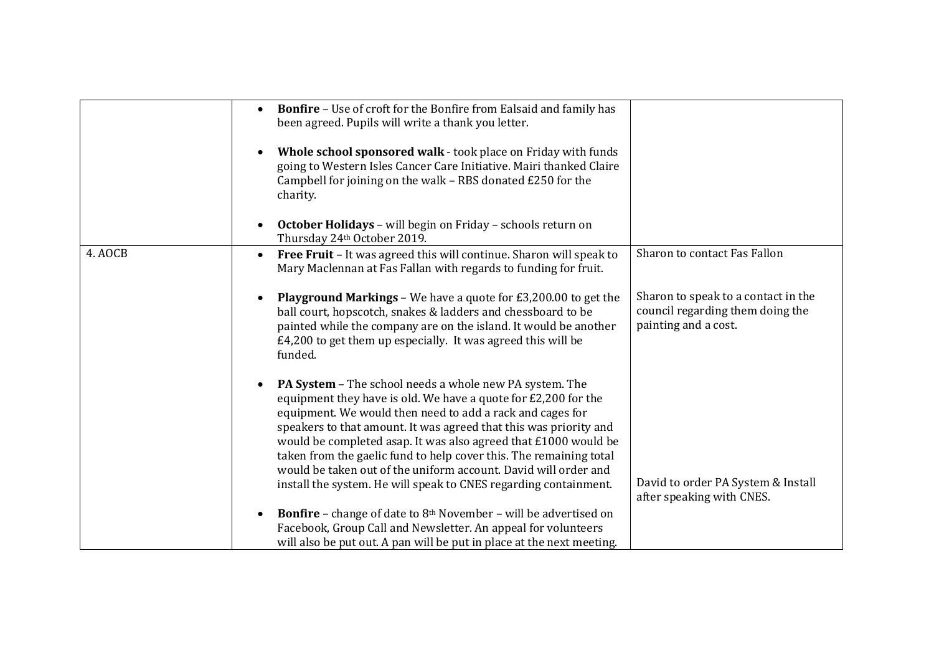|         | <b>Bonfire</b> - Use of croft for the Bonfire from Ealsaid and family has<br>been agreed. Pupils will write a thank you letter.<br>Whole school sponsored walk - took place on Friday with funds<br>going to Western Isles Cancer Care Initiative. Mairi thanked Claire<br>Campbell for joining on the walk - RBS donated £250 for the<br>charity.                                                                                                                                                                                                 |                                                                                                 |
|---------|----------------------------------------------------------------------------------------------------------------------------------------------------------------------------------------------------------------------------------------------------------------------------------------------------------------------------------------------------------------------------------------------------------------------------------------------------------------------------------------------------------------------------------------------------|-------------------------------------------------------------------------------------------------|
|         | October Holidays - will begin on Friday - schools return on<br>Thursday 24th October 2019.                                                                                                                                                                                                                                                                                                                                                                                                                                                         |                                                                                                 |
| 4. AOCB | Free Fruit - It was agreed this will continue. Sharon will speak to<br>$\bullet$<br>Mary Maclennan at Fas Fallan with regards to funding for fruit.                                                                                                                                                                                                                                                                                                                                                                                                | Sharon to contact Fas Fallon                                                                    |
|         | <b>Playground Markings - We have a quote for £3,200.00 to get the</b><br>€<br>ball court, hopscotch, snakes & ladders and chessboard to be<br>painted while the company are on the island. It would be another<br>£4,200 to get them up especially. It was agreed this will be<br>funded.                                                                                                                                                                                                                                                          | Sharon to speak to a contact in the<br>council regarding them doing the<br>painting and a cost. |
|         | <b>PA System - The school needs a whole new PA system. The</b><br>equipment they have is old. We have a quote for £2,200 for the<br>equipment. We would then need to add a rack and cages for<br>speakers to that amount. It was agreed that this was priority and<br>would be completed asap. It was also agreed that £1000 would be<br>taken from the gaelic fund to help cover this. The remaining total<br>would be taken out of the uniform account. David will order and<br>install the system. He will speak to CNES regarding containment. | David to order PA System & Install<br>after speaking with CNES.                                 |
|         | <b>Bonfire</b> – change of date to $8th$ November – will be advertised on<br>$\bullet$<br>Facebook, Group Call and Newsletter. An appeal for volunteers<br>will also be put out. A pan will be put in place at the next meeting.                                                                                                                                                                                                                                                                                                                   |                                                                                                 |